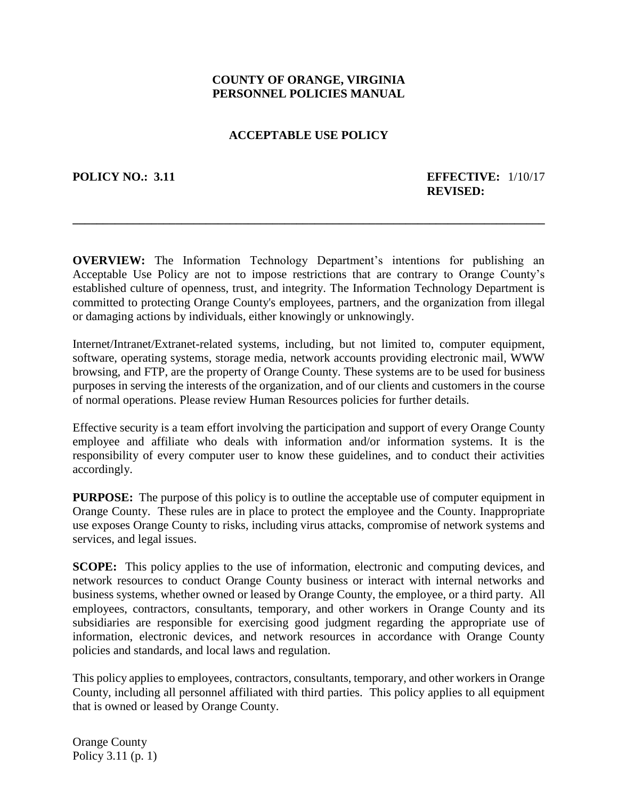# **COUNTY OF ORANGE, VIRGINIA PERSONNEL POLICIES MANUAL**

# **ACCEPTABLE USE POLICY**

#### **POLICY NO.: 3.11 EFFECTIVE:** 1/10/17 **REVISED:**

**OVERVIEW:** The Information Technology Department's intentions for publishing an Acceptable Use Policy are not to impose restrictions that are contrary to Orange County's established culture of openness, trust, and integrity. The Information Technology Department is committed to protecting Orange County's employees, partners, and the organization from illegal or damaging actions by individuals, either knowingly or unknowingly.

**\_\_\_\_\_\_\_\_\_\_\_\_\_\_\_\_\_\_\_\_\_\_\_\_\_\_\_\_\_\_\_\_\_\_\_\_\_\_\_\_\_\_\_\_\_\_\_\_\_\_\_\_\_\_\_\_\_\_\_\_\_\_\_\_\_\_\_\_\_\_\_\_\_\_\_\_\_\_**

Internet/Intranet/Extranet-related systems, including, but not limited to, computer equipment, software, operating systems, storage media, network accounts providing electronic mail, WWW browsing, and FTP, are the property of Orange County. These systems are to be used for business purposes in serving the interests of the organization, and of our clients and customers in the course of normal operations. Please review Human Resources policies for further details.

Effective security is a team effort involving the participation and support of every Orange County employee and affiliate who deals with information and/or information systems. It is the responsibility of every computer user to know these guidelines, and to conduct their activities accordingly.

**PURPOSE:** The purpose of this policy is to outline the acceptable use of computer equipment in Orange County. These rules are in place to protect the employee and the County. Inappropriate use exposes Orange County to risks, including virus attacks, compromise of network systems and services, and legal issues.

**SCOPE:** This policy applies to the use of information, electronic and computing devices, and network resources to conduct Orange County business or interact with internal networks and business systems, whether owned or leased by Orange County, the employee, or a third party. All employees, contractors, consultants, temporary, and other workers in Orange County and its subsidiaries are responsible for exercising good judgment regarding the appropriate use of information, electronic devices, and network resources in accordance with Orange County policies and standards, and local laws and regulation.

This policy applies to employees, contractors, consultants, temporary, and other workers in Orange County, including all personnel affiliated with third parties. This policy applies to all equipment that is owned or leased by Orange County.

Orange County Policy 3.11 (p. 1)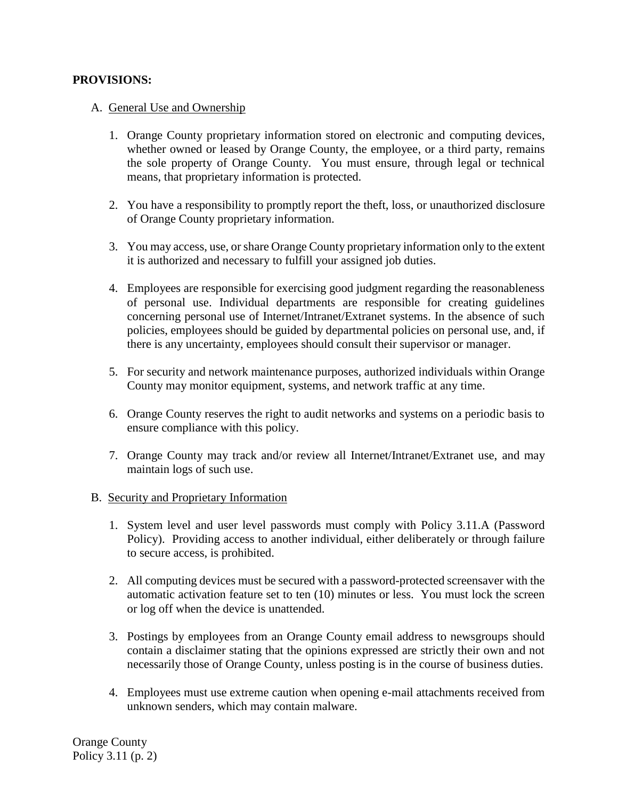### **PROVISIONS:**

### A. General Use and Ownership

- 1. Orange County proprietary information stored on electronic and computing devices, whether owned or leased by Orange County, the employee, or a third party, remains the sole property of Orange County. You must ensure, through legal or technical means, that proprietary information is protected.
- 2. You have a responsibility to promptly report the theft, loss, or unauthorized disclosure of Orange County proprietary information.
- 3. You may access, use, or share Orange County proprietary information only to the extent it is authorized and necessary to fulfill your assigned job duties.
- 4. Employees are responsible for exercising good judgment regarding the reasonableness of personal use. Individual departments are responsible for creating guidelines concerning personal use of Internet/Intranet/Extranet systems. In the absence of such policies, employees should be guided by departmental policies on personal use, and, if there is any uncertainty, employees should consult their supervisor or manager.
- 5. For security and network maintenance purposes, authorized individuals within Orange County may monitor equipment, systems, and network traffic at any time.
- 6. Orange County reserves the right to audit networks and systems on a periodic basis to ensure compliance with this policy.
- 7. Orange County may track and/or review all Internet/Intranet/Extranet use, and may maintain logs of such use.

#### B. Security and Proprietary Information

- 1. System level and user level passwords must comply with Policy 3.11.A (Password Policy). Providing access to another individual, either deliberately or through failure to secure access, is prohibited.
- 2. All computing devices must be secured with a password-protected screensaver with the automatic activation feature set to ten (10) minutes or less. You must lock the screen or log off when the device is unattended.
- 3. Postings by employees from an Orange County email address to newsgroups should contain a disclaimer stating that the opinions expressed are strictly their own and not necessarily those of Orange County, unless posting is in the course of business duties.
- 4. Employees must use extreme caution when opening e-mail attachments received from unknown senders, which may contain malware.

Orange County Policy 3.11 (p. 2)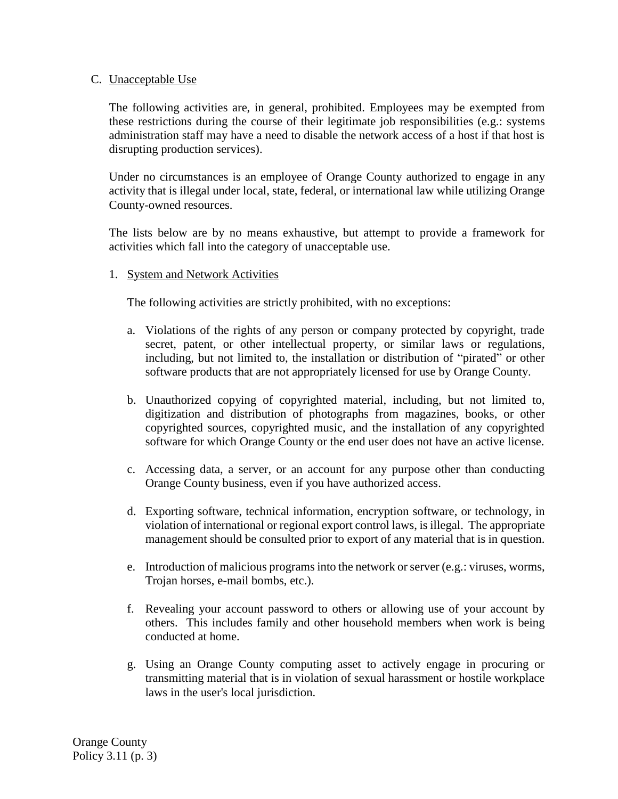#### C. Unacceptable Use

The following activities are, in general, prohibited. Employees may be exempted from these restrictions during the course of their legitimate job responsibilities (e.g.: systems administration staff may have a need to disable the network access of a host if that host is disrupting production services).

Under no circumstances is an employee of Orange County authorized to engage in any activity that is illegal under local, state, federal, or international law while utilizing Orange County-owned resources.

The lists below are by no means exhaustive, but attempt to provide a framework for activities which fall into the category of unacceptable use.

#### 1. System and Network Activities

The following activities are strictly prohibited, with no exceptions:

- a. Violations of the rights of any person or company protected by copyright, trade secret, patent, or other intellectual property, or similar laws or regulations, including, but not limited to, the installation or distribution of "pirated" or other software products that are not appropriately licensed for use by Orange County.
- b. Unauthorized copying of copyrighted material, including, but not limited to, digitization and distribution of photographs from magazines, books, or other copyrighted sources, copyrighted music, and the installation of any copyrighted software for which Orange County or the end user does not have an active license.
- c. Accessing data, a server, or an account for any purpose other than conducting Orange County business, even if you have authorized access.
- d. Exporting software, technical information, encryption software, or technology, in violation of international or regional export control laws, is illegal. The appropriate management should be consulted prior to export of any material that is in question.
- e. Introduction of malicious programs into the network or server (e.g.: viruses, worms, Trojan horses, e-mail bombs, etc.).
- f. Revealing your account password to others or allowing use of your account by others. This includes family and other household members when work is being conducted at home.
- g. Using an Orange County computing asset to actively engage in procuring or transmitting material that is in violation of sexual harassment or hostile workplace laws in the user's local jurisdiction.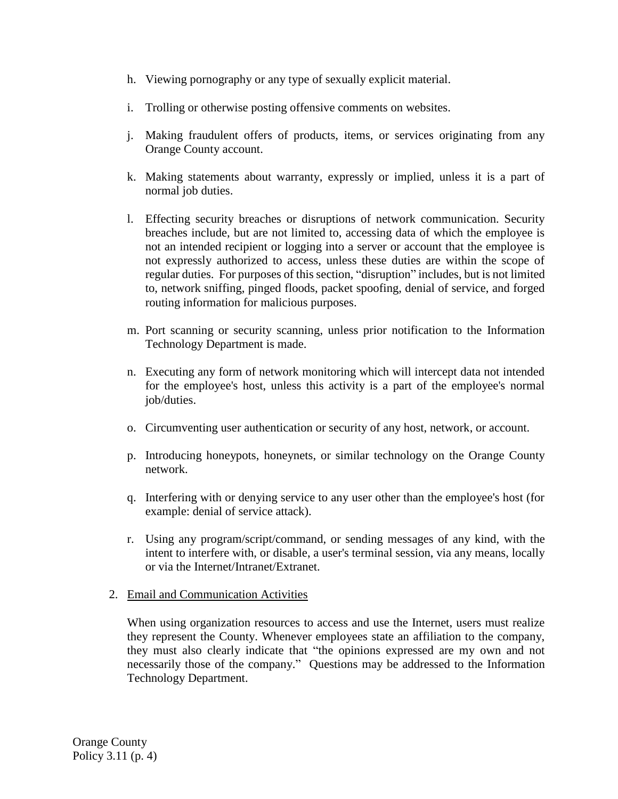- h. Viewing pornography or any type of sexually explicit material.
- i. Trolling or otherwise posting offensive comments on websites.
- j. Making fraudulent offers of products, items, or services originating from any Orange County account.
- k. Making statements about warranty, expressly or implied, unless it is a part of normal job duties.
- l. Effecting security breaches or disruptions of network communication. Security breaches include, but are not limited to, accessing data of which the employee is not an intended recipient or logging into a server or account that the employee is not expressly authorized to access, unless these duties are within the scope of regular duties. For purposes of this section, "disruption" includes, but is not limited to, network sniffing, pinged floods, packet spoofing, denial of service, and forged routing information for malicious purposes.
- m. Port scanning or security scanning, unless prior notification to the Information Technology Department is made.
- n. Executing any form of network monitoring which will intercept data not intended for the employee's host, unless this activity is a part of the employee's normal job/duties.
- o. Circumventing user authentication or security of any host, network, or account.
- p. Introducing honeypots, honeynets, or similar technology on the Orange County network.
- q. Interfering with or denying service to any user other than the employee's host (for example: denial of service attack).
- r. Using any program/script/command, or sending messages of any kind, with the intent to interfere with, or disable, a user's terminal session, via any means, locally or via the Internet/Intranet/Extranet.
- 2. Email and Communication Activities

When using organization resources to access and use the Internet, users must realize they represent the County. Whenever employees state an affiliation to the company, they must also clearly indicate that "the opinions expressed are my own and not necessarily those of the company." Questions may be addressed to the Information Technology Department.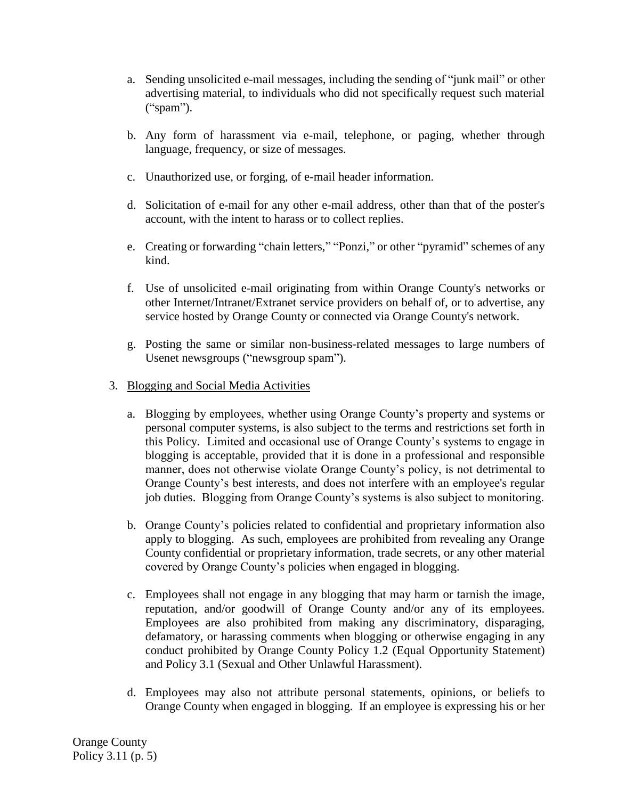- a. Sending unsolicited e-mail messages, including the sending of "junk mail" or other advertising material, to individuals who did not specifically request such material ("spam").
- b. Any form of harassment via e-mail, telephone, or paging, whether through language, frequency, or size of messages.
- c. Unauthorized use, or forging, of e-mail header information.
- d. Solicitation of e-mail for any other e-mail address, other than that of the poster's account, with the intent to harass or to collect replies.
- e. Creating or forwarding "chain letters," "Ponzi," or other "pyramid" schemes of any kind.
- f. Use of unsolicited e-mail originating from within Orange County's networks or other Internet/Intranet/Extranet service providers on behalf of, or to advertise, any service hosted by Orange County or connected via Orange County's network.
- g. Posting the same or similar non-business-related messages to large numbers of Usenet newsgroups ("newsgroup spam").
- 3. Blogging and Social Media Activities
	- a. Blogging by employees, whether using Orange County's property and systems or personal computer systems, is also subject to the terms and restrictions set forth in this Policy. Limited and occasional use of Orange County's systems to engage in blogging is acceptable, provided that it is done in a professional and responsible manner, does not otherwise violate Orange County's policy, is not detrimental to Orange County's best interests, and does not interfere with an employee's regular job duties. Blogging from Orange County's systems is also subject to monitoring.
	- b. Orange County's policies related to confidential and proprietary information also apply to blogging. As such, employees are prohibited from revealing any Orange County confidential or proprietary information, trade secrets, or any other material covered by Orange County's policies when engaged in blogging.
	- c. Employees shall not engage in any blogging that may harm or tarnish the image, reputation, and/or goodwill of Orange County and/or any of its employees. Employees are also prohibited from making any discriminatory, disparaging, defamatory, or harassing comments when blogging or otherwise engaging in any conduct prohibited by Orange County Policy 1.2 (Equal Opportunity Statement) and Policy 3.1 (Sexual and Other Unlawful Harassment).
	- d. Employees may also not attribute personal statements, opinions, or beliefs to Orange County when engaged in blogging. If an employee is expressing his or her

Orange County Policy 3.11 (p. 5)